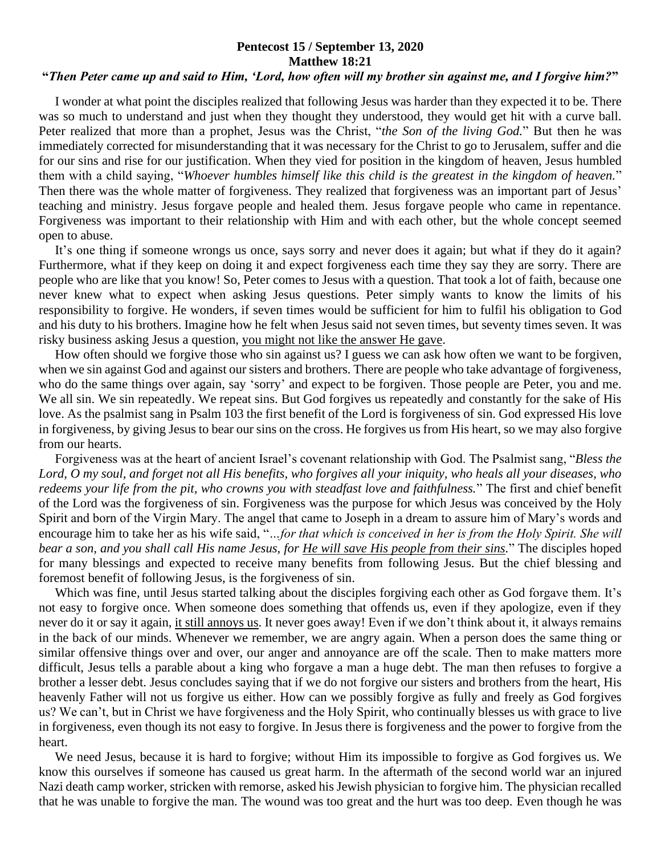## **Pentecost 15 / September 13, 2020 Matthew 18:21**

## **"***Then Peter came up and said to Him, 'Lord, how often will my brother sin against me, and I forgive him?***"**

 I wonder at what point the disciples realized that following Jesus was harder than they expected it to be. There was so much to understand and just when they thought they understood, they would get hit with a curve ball. Peter realized that more than a prophet, Jesus was the Christ, "*the Son of the living God.*" But then he was immediately corrected for misunderstanding that it was necessary for the Christ to go to Jerusalem, suffer and die for our sins and rise for our justification. When they vied for position in the kingdom of heaven, Jesus humbled them with a child saying, "*Whoever humbles himself like this child is the greatest in the kingdom of heaven.*" Then there was the whole matter of forgiveness. They realized that forgiveness was an important part of Jesus' teaching and ministry. Jesus forgave people and healed them. Jesus forgave people who came in repentance. Forgiveness was important to their relationship with Him and with each other, but the whole concept seemed open to abuse.

 It's one thing if someone wrongs us once, says sorry and never does it again; but what if they do it again? Furthermore, what if they keep on doing it and expect forgiveness each time they say they are sorry. There are people who are like that you know! So, Peter comes to Jesus with a question. That took a lot of faith, because one never knew what to expect when asking Jesus questions. Peter simply wants to know the limits of his responsibility to forgive. He wonders, if seven times would be sufficient for him to fulfil his obligation to God and his duty to his brothers. Imagine how he felt when Jesus said not seven times, but seventy times seven. It was risky business asking Jesus a question, you might not like the answer He gave.

 How often should we forgive those who sin against us? I guess we can ask how often we want to be forgiven, when we sin against God and against our sisters and brothers. There are people who take advantage of forgiveness, who do the same things over again, say 'sorry' and expect to be forgiven. Those people are Peter, you and me. We all sin. We sin repeatedly. We repeat sins. But God forgives us repeatedly and constantly for the sake of His love. As the psalmist sang in Psalm 103 the first benefit of the Lord is forgiveness of sin. God expressed His love in forgiveness, by giving Jesus to bear our sins on the cross. He forgives us from His heart, so we may also forgive from our hearts.

 Forgiveness was at the heart of ancient Israel's covenant relationship with God. The Psalmist sang, "*Bless the Lord, O my soul, and forget not all His benefits, who forgives all your iniquity, who heals all your diseases, who redeems your life from the pit, who crowns you with steadfast love and faithfulness.*" The first and chief benefit of the Lord was the forgiveness of sin. Forgiveness was the purpose for which Jesus was conceived by the Holy Spirit and born of the Virgin Mary. The angel that came to Joseph in a dream to assure him of Mary's words and encourage him to take her as his wife said, "*…for that which is conceived in her is from the Holy Spirit. She will bear a son, and you shall call His name Jesus, for He will save His people from their sins.*" The disciples hoped for many blessings and expected to receive many benefits from following Jesus. But the chief blessing and foremost benefit of following Jesus, is the forgiveness of sin.

 Which was fine, until Jesus started talking about the disciples forgiving each other as God forgave them. It's not easy to forgive once. When someone does something that offends us, even if they apologize, even if they never do it or say it again, it still annoys us. It never goes away! Even if we don't think about it, it always remains in the back of our minds. Whenever we remember, we are angry again. When a person does the same thing or similar offensive things over and over, our anger and annoyance are off the scale. Then to make matters more difficult, Jesus tells a parable about a king who forgave a man a huge debt. The man then refuses to forgive a brother a lesser debt. Jesus concludes saying that if we do not forgive our sisters and brothers from the heart, His heavenly Father will not us forgive us either. How can we possibly forgive as fully and freely as God forgives us? We can't, but in Christ we have forgiveness and the Holy Spirit, who continually blesses us with grace to live in forgiveness, even though its not easy to forgive. In Jesus there is forgiveness and the power to forgive from the heart.

 We need Jesus, because it is hard to forgive; without Him its impossible to forgive as God forgives us. We know this ourselves if someone has caused us great harm. In the aftermath of the second world war an injured Nazi death camp worker, stricken with remorse, asked his Jewish physician to forgive him. The physician recalled that he was unable to forgive the man. The wound was too great and the hurt was too deep. Even though he was